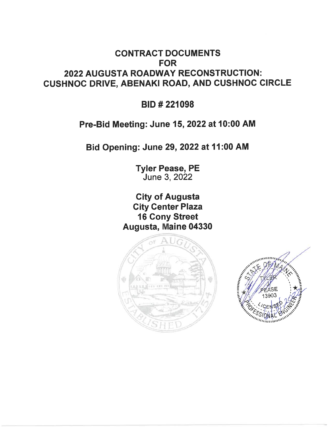## **CONTRACT DOCUMENTS FOR** 2022 AUGUSTA ROADWAY RECONSTRUCTION: **CUSHNOC DRIVE, ABENAKI ROAD, AND CUSHNOC CIRCLE**

**BID#221098** 

## Pre-Bid Meeting: June 15, 2022 at 10:00 AM

Bid Opening: June 29, 2022 at 11:00 AM

**Tyler Pease, PE** June 3, 2022

**City of Augusta City Center Plaza 16 Cony Street** Augusta, Maine 04330



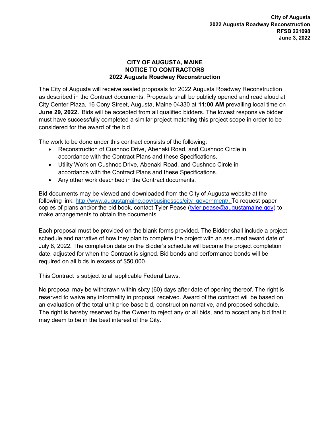## CITY OF AUGUSTA, MAINE NOTICE TO CONTRACTORS 2022 Augusta Roadway Reconstruction

The City of Augusta will receive sealed proposals for 2022 Augusta Roadway Reconstruction as described in the Contract documents. Proposals shall be publicly opened and read aloud at City Center Plaza, 16 Cony Street, Augusta, Maine 04330 at 11:00 AM prevailing local time on June 29, 2022. Bids will be accepted from all qualified bidders. The lowest responsive bidder must have successfully completed a similar project matching this project scope in order to be considered for the award of the bid.

The work to be done under this contract consists of the following:

- Reconstruction of Cushnoc Drive, Abenaki Road, and Cushnoc Circle in accordance with the Contract Plans and these Specifications.
- Utility Work on Cushnoc Drive, Abenaki Road, and Cushnoc Circle in accordance with the Contract Plans and these Specifications.
- Any other work described in the Contract documents.

Bid documents may be viewed and downloaded from the City of Augusta website at the following link: http://www.augustamaine.gov/businesses/city\_government/. To request paper copies of plans and/or the bid book, contact Tyler Pease (tyler.pease@augustamaine.gov) to make arrangements to obtain the documents.

Each proposal must be provided on the blank forms provided. The Bidder shall include a project schedule and narrative of how they plan to complete the project with an assumed award date of July 8, 2022. The completion date on the Bidder's schedule will become the project completion date, adjusted for when the Contract is signed. Bid bonds and performance bonds will be required on all bids in excess of \$50,000.

This Contract is subject to all applicable Federal Laws.

No proposal may be withdrawn within sixty (60) days after date of opening thereof. The right is reserved to waive any informality in proposal received. Award of the contract will be based on an evaluation of the total unit price base bid, construction narrative, and proposed schedule. The right is hereby reserved by the Owner to reject any or all bids, and to accept any bid that it may deem to be in the best interest of the City.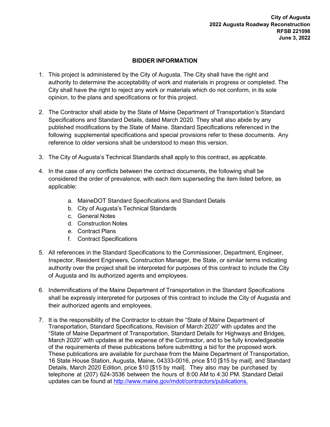## BIDDER INFORMATION

- 1. This project is administered by the City of Augusta. The City shall have the right and authority to determine the acceptability of work and materials in progress or completed. The City shall have the right to reject any work or materials which do not conform, in its sole opinion, to the plans and specifications or for this project.
- 2. The Contractor shall abide by the State of Maine Department of Transportation's Standard Specifications and Standard Details, dated March 2020. They shall also abide by any published modifications by the State of Maine. Standard Specifications referenced in the following supplemental specifications and special provisions refer to these documents. Any reference to older versions shall be understood to mean this version.
- 3. The City of Augusta's Technical Standards shall apply to this contract, as applicable.
- 4. In the case of any conflicts between the contract documents, the following shall be considered the order of prevalence, with each item superseding the item listed before, as applicable:
	- a. MaineDOT Standard Specifications and Standard Details
	- b. City of Augusta's Technical Standards
	- c. General Notes
	- d. Construction Notes
	- e. Contract Plans
	- f. Contract Specifications
- 5. All references in the Standard Specifications to the Commissioner, Department, Engineer, Inspector, Resident Engineers, Construction Manager, the State, or similar terms indicating authority over the project shall be interpreted for purposes of this contract to include the City of Augusta and its authorized agents and employees.
- 6. Indemnifications of the Maine Department of Transportation in the Standard Specifications shall be expressly interpreted for purposes of this contract to include the City of Augusta and their authorized agents and employees.
- 7. It is the responsibility of the Contractor to obtain the "State of Maine Department of Transportation, Standard Specifications, Revision of March 2020" with updates and the "State of Maine Department of Transportation, Standard Details for Highways and Bridges, March 2020" with updates at the expense of the Contractor, and to be fully knowledgeable of the requirements of these publications before submitting a bid for the proposed work. These publications are available for purchase from the Maine Department of Transportation, 16 State House Station, Augusta, Maine, 04333-0016, price \$10 [\$15 by mail], and Standard Details, March 2020 Edition, price \$10 [\$15 by mail]. They also may be purchased by telephone at (207) 624-3536 between the hours of 8:00 AM to 4:30 PM. Standard Detail updates can be found at http://www.maine.gov/mdot/contractors/publications.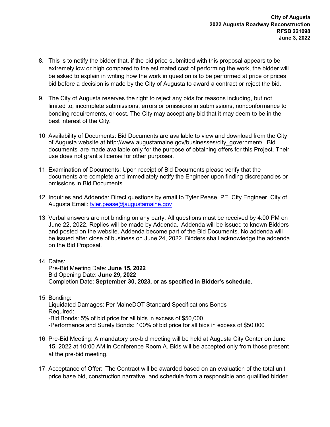- 8. This is to notify the bidder that, if the bid price submitted with this proposal appears to be extremely low or high compared to the estimated cost of performing the work, the bidder will be asked to explain in writing how the work in question is to be performed at price or prices bid before a decision is made by the City of Augusta to award a contract or reject the bid.
- 9. The City of Augusta reserves the right to reject any bids for reasons including, but not limited to, incomplete submissions, errors or omissions in submissions, nonconformance to bonding requirements, or cost. The City may accept any bid that it may deem to be in the best interest of the City.
- 10. Availability of Documents: Bid Documents are available to view and download from the City of Augusta website at http://www.augustamaine.gov/businesses/city\_government/. Bid documents are made available only for the purpose of obtaining offers for this Project. Their use does not grant a license for other purposes.
- 11. Examination of Documents: Upon receipt of Bid Documents please verify that the documents are complete and immediately notify the Engineer upon finding discrepancies or omissions in Bid Documents.
- 12. Inquiries and Addenda: Direct questions by email to Tyler Pease, PE, City Engineer, City of Augusta Email: tyler.pease@augustamaine.gov
- 13. Verbal answers are not binding on any party. All questions must be received by 4:00 PM on June 22, 2022. Replies will be made by Addenda. Addenda will be issued to known Bidders and posted on the website. Addenda become part of the Bid Documents. No addenda will be issued after close of business on June 24, 2022. Bidders shall acknowledge the addenda on the Bid Proposal.
- 14. Dates:

Pre-Bid Meeting Date: June 15, 2022 Bid Opening Date: June 29, 2022 Completion Date: September 30, 2023, or as specified in Bidder's schedule.

- 15. Bonding: Liquidated Damages: Per MaineDOT Standard Specifications Bonds Required: -Bid Bonds: 5% of bid price for all bids in excess of \$50,000 -Performance and Surety Bonds: 100% of bid price for all bids in excess of \$50,000
- 16. Pre-Bid Meeting: A mandatory pre-bid meeting will be held at Augusta City Center on June 15, 2022 at 10:00 AM in Conference Room A. Bids will be accepted only from those present at the pre-bid meeting.
- 17. Acceptance of Offer: The Contract will be awarded based on an evaluation of the total unit price base bid, construction narrative, and schedule from a responsible and qualified bidder.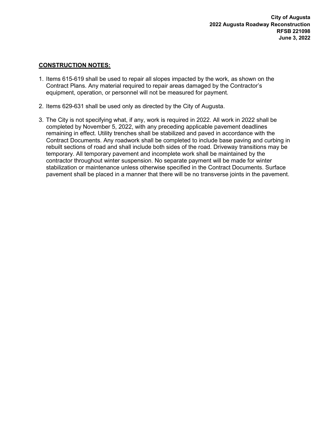## CONSTRUCTION NOTES:

- 1. Items 615-619 shall be used to repair all slopes impacted by the work, as shown on the Contract Plans. Any material required to repair areas damaged by the Contractor's equipment, operation, or personnel will not be measured for payment.
- 2. Items 629-631 shall be used only as directed by the City of Augusta.
- 3. The City is not specifying what, if any, work is required in 2022. All work in 2022 shall be completed by November 5, 2022, with any preceding applicable pavement deadlines remaining in effect. Utility trenches shall be stabilized and paved in accordance with the Contract Documents. Any roadwork shall be completed to include base paving and curbing in rebuilt sections of road and shall include both sides of the road. Driveway transitions may be temporary. All temporary pavement and incomplete work shall be maintained by the contractor throughout winter suspension. No separate payment will be made for winter stabilization or maintenance unless otherwise specified in the Contract Documents. Surface pavement shall be placed in a manner that there will be no transverse joints in the pavement.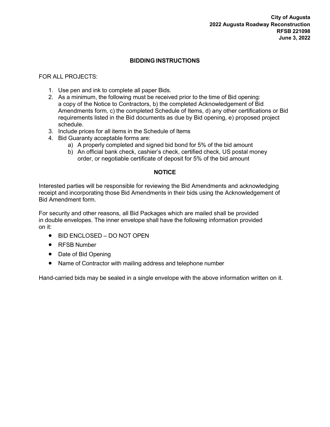## BIDDING INSTRUCTIONS

FOR ALL PROJECTS:

- 1. Use pen and ink to complete all paper Bids.
- 2. As a minimum, the following must be received prior to the time of Bid opening: a copy of the Notice to Contractors, b) the completed Acknowledgement of Bid Amendments form, c) the completed Schedule of Items, d) any other certifications or Bid requirements listed in the Bid documents as due by Bid opening, e) proposed project schedule.
- 3. Include prices for all items in the Schedule of Items
- 4. Bid Guaranty acceptable forms are:
	- a) A properly completed and signed bid bond for 5% of the bid amount
	- b) An official bank check, cashier's check, certified check, US postal money order, or negotiable certificate of deposit for 5% of the bid amount

## **NOTICE**

Interested parties will be responsible for reviewing the Bid Amendments and acknowledging receipt and incorporating those Bid Amendments in their bids using the Acknowledgement of Bid Amendment form.

For security and other reasons, all Bid Packages which are mailed shall be provided in double envelopes. The inner envelope shall have the following information provided on it:

- BID ENCLOSED DO NOT OPEN
- RFSB Number
- Date of Bid Opening
- Name of Contractor with mailing address and telephone number

Hand-carried bids may be sealed in a single envelope with the above information written on it.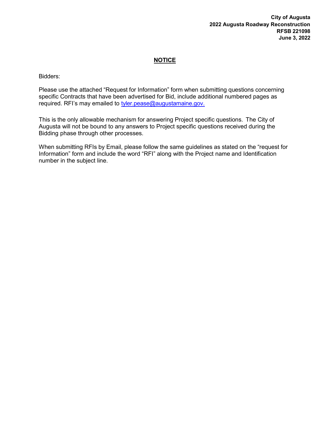#### City of Augusta 2022 Augusta Roadway Reconstruction RFSB 221098 June 3, 2022

## **NOTICE**

Bidders:

Please use the attached "Request for Information" form when submitting questions concerning specific Contracts that have been advertised for Bid, include additional numbered pages as required. RFI's may emailed to tyler.pease@augustamaine.gov.

This is the only allowable mechanism for answering Project specific questions. The City of Augusta will not be bound to any answers to Project specific questions received during the Bidding phase through other processes.

When submitting RFIs by Email, please follow the same guidelines as stated on the "request for Information" form and include the word "RFI" along with the Project name and Identification number in the subject line.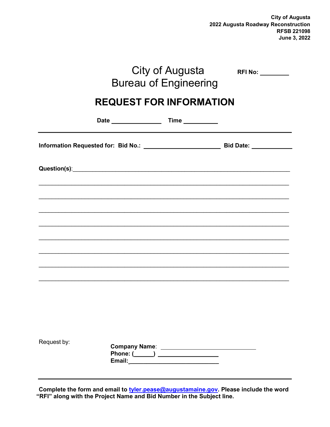City of Augusta 2022 Augusta Roadway Reconstruction RFSB 221098 June 3, 2022

|             |                                                                                                                                                                                                                                      | City of Augusta<br><b>Bureau of Engineering</b>                                                                | <b>RFI No:</b> __________                                                         |  |
|-------------|--------------------------------------------------------------------------------------------------------------------------------------------------------------------------------------------------------------------------------------|----------------------------------------------------------------------------------------------------------------|-----------------------------------------------------------------------------------|--|
|             | <b>REQUEST FOR INFORMATION</b>                                                                                                                                                                                                       |                                                                                                                |                                                                                   |  |
|             |                                                                                                                                                                                                                                      |                                                                                                                |                                                                                   |  |
|             |                                                                                                                                                                                                                                      |                                                                                                                |                                                                                   |  |
|             | Question(s): <u>contract and a series of the series of the series of the series of the series of the series of the series of the series of the series of the series of the series of the series of the series of the series of t</u> |                                                                                                                |                                                                                   |  |
|             |                                                                                                                                                                                                                                      |                                                                                                                |                                                                                   |  |
|             |                                                                                                                                                                                                                                      |                                                                                                                |                                                                                   |  |
|             |                                                                                                                                                                                                                                      |                                                                                                                | ,我们也不能在这里的人,我们也不能在这里的人,我们也不能在这里的人,我们也不能在这里的人,我们也不能在这里的人,我们也不能在这里的人,我们也不能在这里的人,我们也 |  |
|             |                                                                                                                                                                                                                                      |                                                                                                                |                                                                                   |  |
|             |                                                                                                                                                                                                                                      |                                                                                                                |                                                                                   |  |
|             |                                                                                                                                                                                                                                      |                                                                                                                |                                                                                   |  |
| Request by: |                                                                                                                                                                                                                                      | Phone: (_____) ________________                                                                                |                                                                                   |  |
|             |                                                                                                                                                                                                                                      | Email: Maria Maria Maria Maria Maria Maria Maria Maria Maria Maria Maria Maria Maria Maria Maria Maria Maria M |                                                                                   |  |

Complete the form and email to tyler.pease@augustamaine.gov. Please include the word "RFI" along with the Project Name and Bid Number in the Subject line.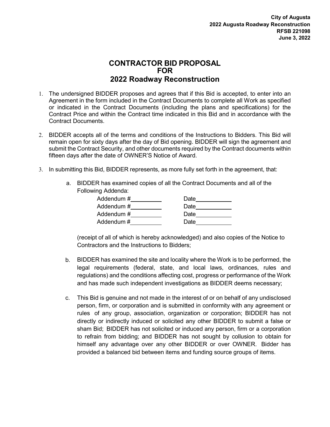## CONTRACTOR BID PROPOSAL FOR 2022 Roadway Reconstruction

- 1. The undersigned BIDDER proposes and agrees that if this Bid is accepted, to enter into an Agreement in the form included in the Contract Documents to complete all Work as specified or indicated in the Contract Documents (including the plans and specifications) for the Contract Price and within the Contract time indicated in this Bid and in accordance with the Contract Documents.
- 2. BIDDER accepts all of the terms and conditions of the Instructions to Bidders. This Bid will remain open for sixty days after the day of Bid opening. BIDDER will sign the agreement and submit the Contract Security, and other documents required by the Contract documents within fifteen days after the date of OWNER'S Notice of Award.
- 3. In submitting this Bid, BIDDER represents, as more fully set forth in the agreement, that:
	- a. BIDDER has examined copies of all the Contract Documents and all of the Following Addenda:

| Addendum # | Date |
|------------|------|
| Addendum # | Date |
| Addendum # | Date |
| Addendum # | Date |

(receipt of all of which is hereby acknowledged) and also copies of the Notice to Contractors and the Instructions to Bidders;

- b. BIDDER has examined the site and locality where the Work is to be performed, the legal requirements (federal, state, and local laws, ordinances, rules and regulations) and the conditions affecting cost, progress or performance of the Work and has made such independent investigations as BIDDER deems necessary;
- c. This Bid is genuine and not made in the interest of or on behalf of any undisclosed person, firm, or corporation and is submitted in conformity with any agreement or rules of any group, association, organization or corporation; BIDDER has not directly or indirectly induced or solicited any other BIDDER to submit a false or sham Bid; BIDDER has not solicited or induced any person, firm or a corporation to refrain from bidding; and BIDDER has not sought by collusion to obtain for himself any advantage over any other BIDDER or over OWNER. Bidder has provided a balanced bid between items and funding source groups of items.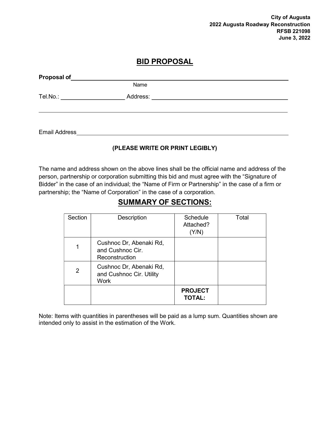City of Augusta 2022 Augusta Roadway Reconstruction RFSB 221098 June 3, 2022

## BID PROPOSAL

| Proposal of |          |  |
|-------------|----------|--|
|             | Name     |  |
| Tel.No.:    | Address: |  |
|             |          |  |
|             |          |  |

Email Address

## (PLEASE WRITE OR PRINT LEGIBLY)

The name and address shown on the above lines shall be the official name and address of the person, partnership or corporation submitting this bid and must agree with the "Signature of Bidder" in the case of an individual; the "Name of Firm or Partnership" in the case of a firm or partnership; the "Name of Corporation" in the case of a corporation.

## SUMMARY OF SECTIONS:

| Section | Description                                                   | Schedule<br>Attached?<br>(Y/N)  | Total |
|---------|---------------------------------------------------------------|---------------------------------|-------|
|         | Cushnoc Dr, Abenaki Rd,<br>and Cushnoc Cir.<br>Reconstruction |                                 |       |
| 2       | Cushnoc Dr, Abenaki Rd,<br>and Cushnoc Cir. Utility<br>Work   |                                 |       |
|         |                                                               | <b>PROJECT</b><br><b>TOTAL:</b> |       |

Note: Items with quantities in parentheses will be paid as a lump sum. Quantities shown are intended only to assist in the estimation of the Work.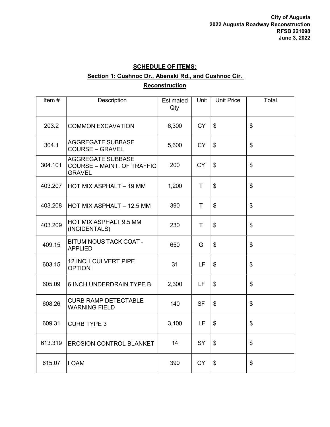## SCHEDULE OF ITEMS: Section 1: Cushnoc Dr., Abenaki Rd., and Cushnoc Cir. **Reconstruction**

| Item $#$ | Description                                                                    | Estimated<br>Qty | Unit         | <b>Unit Price</b>          | Total |
|----------|--------------------------------------------------------------------------------|------------------|--------------|----------------------------|-------|
| 203.2    | <b>COMMON EXCAVATION</b>                                                       | 6,300            | <b>CY</b>    | \$                         | \$    |
| 304.1    | AGGREGATE SUBBASE<br><b>COURSE - GRAVEL</b>                                    | 5,600            | <b>CY</b>    | \$                         | \$    |
| 304.101  | <b>AGGREGATE SUBBASE</b><br><b>COURSE - MAINT. OF TRAFFIC</b><br><b>GRAVEL</b> | 200              | <b>CY</b>    | $\boldsymbol{\mathsf{\$}}$ | \$    |
| 403.207  | HOT MIX ASPHALT - 19 MM                                                        | 1,200            | T.           | \$                         | \$    |
| 403.208  | HOT MIX ASPHALT - 12.5 MM                                                      | 390              | $\mathsf{T}$ | $\boldsymbol{\mathsf{S}}$  | \$    |
| 403.209  | HOT MIX ASPHALT 9.5 MM<br>(INCIDENTALS)                                        | 230              | T.           | $\boldsymbol{\mathsf{S}}$  | \$    |
| 409.15   | <b>BITUMINOUS TACK COAT -</b><br><b>APPLIED</b>                                | 650              | G            | \$                         | \$    |
| 603.15   | <b>12 INCH CULVERT PIPE</b><br><b>OPTION I</b>                                 | 31               | LF           | \$                         | \$    |
| 605.09   | <b>6 INCH UNDERDRAIN TYPE B</b>                                                | 2,300            | LF           | $\boldsymbol{\mathsf{S}}$  | \$    |
| 608.26   | <b>CURB RAMP DETECTABLE</b><br><b>WARNING FIELD</b>                            | 140              | <b>SF</b>    | $\boldsymbol{\mathsf{\$}}$ | \$    |
| 609.31   | <b>CURB TYPE 3</b>                                                             | 3,100            | LF           | $\boldsymbol{\mathsf{S}}$  | \$    |
| 613.319  | <b>EROSION CONTROL BLANKET</b>                                                 | 14               | SY           | \$                         | \$    |
| 615.07   | <b>LOAM</b>                                                                    | 390              | <b>CY</b>    | $\boldsymbol{\mathsf{S}}$  | \$    |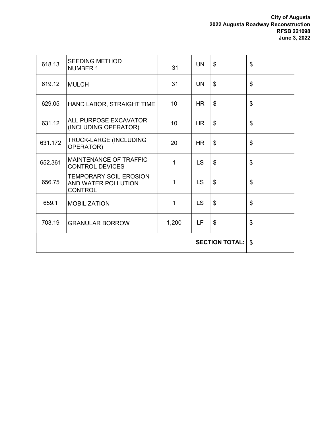#### City of Augusta 2022 Augusta Roadway Reconstruction RFSB 221098 June 3, 2022

| 618.13                | <b>SEEDING METHOD</b><br><b>NUMBER 1</b>                               | 31    | <b>UN</b> | \$                        | \$                        |
|-----------------------|------------------------------------------------------------------------|-------|-----------|---------------------------|---------------------------|
| 619.12                | <b>MULCH</b>                                                           | 31    | <b>UN</b> | $\mathfrak{L}$            | \$                        |
| 629.05                | HAND LABOR, STRAIGHT TIME                                              | 10    | HR        | \$                        | \$                        |
| 631.12                | ALL PURPOSE EXCAVATOR<br>(INCLUDING OPERATOR)                          | 10    | <b>HR</b> | $\boldsymbol{\mathsf{S}}$ | \$                        |
| 631.172               | TRUCK-LARGE (INCLUDING<br>OPERATOR)                                    | 20    | <b>HR</b> | $\mathfrak{L}$            | \$                        |
| 652.361               | MAINTENANCE OF TRAFFIC<br><b>CONTROL DEVICES</b>                       | 1     | LS        | \$                        | \$                        |
| 656.75                | <b>TEMPORARY SOIL EROSION</b><br>AND WATER POLLUTION<br><b>CONTROL</b> | 1     | <b>LS</b> | \$                        | \$                        |
| 659.1                 | <b>MOBILIZATION</b>                                                    | 1     | <b>LS</b> | $\boldsymbol{\mathsf{S}}$ | $\boldsymbol{\mathsf{S}}$ |
| 703.19                | <b>GRANULAR BORROW</b>                                                 | 1,200 | LF        | \$                        | \$                        |
| <b>SECTION TOTAL:</b> |                                                                        |       |           | $\mathfrak{L}$            |                           |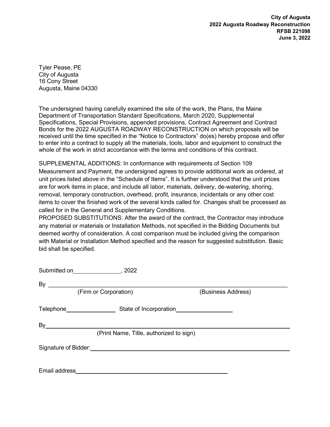City of Augusta 2022 Augusta Roadway Reconstruction RFSB 221098 June 3, 2022

Tyler Pease, PE City of Augusta 16 Cony Street Augusta, Maine 04330

The undersigned having carefully examined the site of the work, the Plans, the Maine Department of Transportation Standard Specifications, March 2020, Supplemental Specifications, Special Provisions, appended provisions, Contract Agreement and Contract Bonds for the 2022 AUGUSTA ROADWAY RECONSTRUCTION on which proposals will be received until the time specified in the "Notice to Contractors" do(es) hereby propose and offer to enter into a contract to supply all the materials, tools, labor and equipment to construct the whole of the work in strict accordance with the terms and conditions of this contract.

SUPPLEMENTAL ADDITIONS: In conformance with requirements of Section 109 Measurement and Payment, the undersigned agrees to provide additional work as ordered, at unit prices listed above in the "Schedule of Items". It is further understood that the unit prices are for work items in place, and include all labor, materials, delivery, de-watering, shoring, removal, temporary construction, overhead, profit, insurance, incidentals or any other cost items to cover the finished work of the several kinds called for. Changes shall be processed as called for in the General and Supplementary Conditions.

PROPOSED SUBSTITUTIONS: After the award of the contract, the Contractor may introduce any material or materials or Installation Methods, not specified in the Bidding Documents but deemed worthy of consideration. A cost comparison must be included giving the comparison with Material or Installation Method specified and the reason for suggested substitution. Basic bid shall be specified.

| Submitted on _____________________, 2022 |                                         |                    |
|------------------------------------------|-----------------------------------------|--------------------|
| By                                       |                                         |                    |
|                                          | (Firm or Corporation)                   | (Business Address) |
|                                          |                                         |                    |
| By                                       |                                         |                    |
|                                          | (Print Name, Title, authorized to sign) |                    |
|                                          |                                         |                    |
| Email address                            |                                         |                    |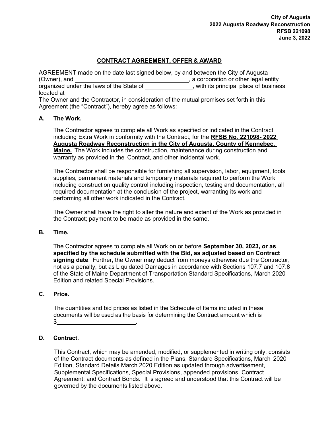## CONTRACT AGREEMENT, OFFER & AWARD

AGREEMENT made on the date last signed below, by and between the City of Augusta (Owner), and , a corporation or other legal entity organized under the laws of the State of \_\_\_\_\_\_\_\_\_\_\_\_\_\_, with its principal place of business located at

The Owner and the Contractor, in consideration of the mutual promises set forth in this Agreement (the "Contract"), hereby agree as follows:

## A. The Work.

The Contractor agrees to complete all Work as specified or indicated in the Contract including Extra Work in conformity with the Contract, for the RFSB No. 221098- 2022 Augusta Roadway Reconstruction in the City of Augusta, County of Kennebec, Maine. The Work includes the construction, maintenance during construction and warranty as provided in the Contract, and other incidental work.

The Contractor shall be responsible for furnishing all supervision, labor, equipment, tools supplies, permanent materials and temporary materials required to perform the Work including construction quality control including inspection, testing and documentation, all required documentation at the conclusion of the project, warranting its work and performing all other work indicated in the Contract.

The Owner shall have the right to alter the nature and extent of the Work as provided in the Contract; payment to be made as provided in the same.

## B. Time.

The Contractor agrees to complete all Work on or before September 30, 2023, or as specified by the schedule submitted with the Bid, as adjusted based on Contract signing date. Further, the Owner may deduct from moneys otherwise due the Contractor, not as a penalty, but as Liquidated Damages in accordance with Sections 107.7 and 107.8 of the State of Maine Department of Transportation Standard Specifications, March 2020 Edition and related Special Provisions.

## C. Price.

The quantities and bid prices as listed in the Schedule of Items included in these documents will be used as the basis for determining the Contract amount which is  $$$   $$$ 

## D. Contract.

This Contract, which may be amended, modified, or supplemented in writing only, consists of the Contract documents as defined in the Plans, Standard Specifications, March 2020 Edition, Standard Details March 2020 Edition as updated through advertisement, Supplemental Specifications, Special Provisions, appended provisions, Contract Agreement; and Contract Bonds. It is agreed and understood that this Contract will be governed by the documents listed above.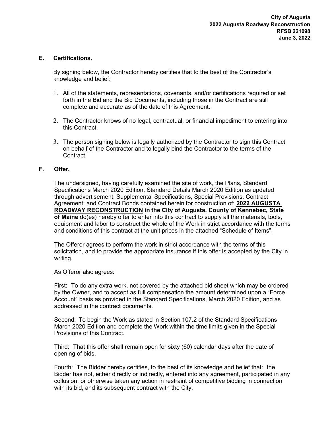## E. Certifications.

By signing below, the Contractor hereby certifies that to the best of the Contractor's knowledge and belief:

- 1. All of the statements, representations, covenants, and/or certifications required or set forth in the Bid and the Bid Documents, including those in the Contract are still complete and accurate as of the date of this Agreement.
- 2. The Contractor knows of no legal, contractual, or financial impediment to entering into this Contract.
- 3. The person signing below is legally authorized by the Contractor to sign this Contract on behalf of the Contractor and to legally bind the Contractor to the terms of the **Contract**

### F. Offer.

The undersigned, having carefully examined the site of work, the Plans, Standard Specifications March 2020 Edition, Standard Details March 2020 Edition as updated through advertisement, Supplemental Specifications, Special Provisions, Contract Agreement; and Contract Bonds contained herein for construction of: 2022 AUGUSTA ROADWAY RECONSTRUCTION in the City of Augusta, County of Kennebec, State of Maine do(es) hereby offer to enter into this contract to supply all the materials, tools, equipment and labor to construct the whole of the Work in strict accordance with the terms and conditions of this contract at the unit prices in the attached "Schedule of Items".

The Offeror agrees to perform the work in strict accordance with the terms of this solicitation, and to provide the appropriate insurance if this offer is accepted by the City in writing.

As Offeror also agrees:

First: To do any extra work, not covered by the attached bid sheet which may be ordered by the Owner, and to accept as full compensation the amount determined upon a "Force Account" basis as provided in the Standard Specifications, March 2020 Edition, and as addressed in the contract documents.

Second: To begin the Work as stated in Section 107.2 of the Standard Specifications March 2020 Edition and complete the Work within the time limits given in the Special Provisions of this Contract.

Third: That this offer shall remain open for sixty (60) calendar days after the date of opening of bids.

Fourth: The Bidder hereby certifies, to the best of its knowledge and belief that: the Bidder has not, either directly or indirectly, entered into any agreement, participated in any collusion, or otherwise taken any action in restraint of competitive bidding in connection with its bid, and its subsequent contract with the City.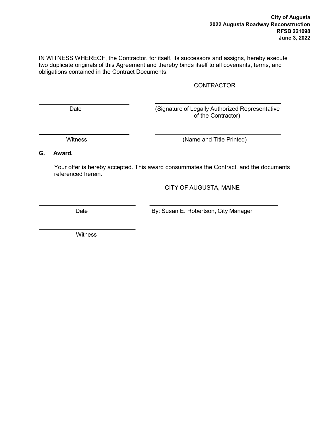IN WITNESS WHEREOF, the Contractor, for itself, its successors and assigns, hereby execute two duplicate originals of this Agreement and thereby binds itself to all covenants, terms, and obligations contained in the Contract Documents.

## **CONTRACTOR**

Date (Signature of Legally Authorized Representative of the Contractor)

Witness (Name and Title Printed)

G. Award.

Your offer is hereby accepted. This award consummates the Contract, and the documents referenced herein.

CITY OF AUGUSTA, MAINE

Date **By: Susan E. Robertson, City Manager** 

**Witness**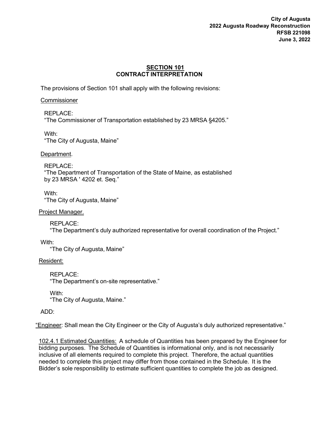City of Augusta 2022 Augusta Roadway Reconstruction RFSB 221098 June 3, 2022

#### SECTION 101 CONTRACT INTERPRETATION

The provisions of Section 101 shall apply with the following revisions:

#### **Commissioner**

REPLACE: "The Commissioner of Transportation established by 23 MRSA §4205."

With: "The City of Augusta, Maine"

Department.

## REPLACE:

"The Department of Transportation of the State of Maine, as established by 23 MRSA ' 4202 et. Seq."

With: "The City of Augusta, Maine"

Project Manager.

REPLACE: "The Department's duly authorized representative for overall coordination of the Project."

With:

"The City of Augusta, Maine"

Resident:

REPLACE: "The Department's on-site representative."

With: "The City of Augusta, Maine."

ADD:

"Engineer: Shall mean the City Engineer or the City of Augusta's duly authorized representative."

102.4.1 Estimated Quantities: A schedule of Quantities has been prepared by the Engineer for bidding purposes. The Schedule of Quantities is informational only, and is not necessarily inclusive of all elements required to complete this project. Therefore, the actual quantities needed to complete this project may differ from those contained in the Schedule. It is the Bidder's sole responsibility to estimate sufficient quantities to complete the job as designed.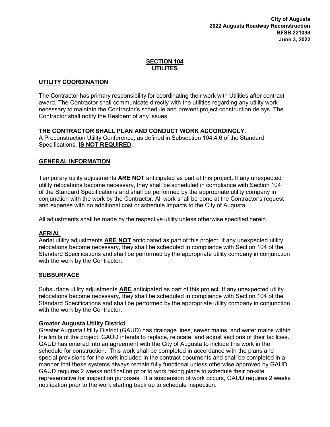## SECTION 104 UTILITES

## UTILITY COORDINATION

The Contractor has primary responsibility for coordinating their work with Utilities after contract award. The Contractor shall communicate directly with the utilities regarding any utility work necessary to maintain the Contractor's schedule and prevent project construction delays. The Contractor shall notify the Resident of any issues.

## THE CONTRACTOR SHALL PLAN AND CONDUCT WORK ACCORDINGLY.

A Preconstruction Utility Conference, as defined in Subsection 104.4.6 of the Standard Specifications, IS NOT REQUIRED.

## GENERAL INFORMATION

Temporary utility adjustments **ARE NOT** anticipated as part of this project. If any unexpected utility relocations become necessary, they shall be scheduled in compliance with Section 104 of the Standard Specifications and shall be performed by the appropriate utility company in conjunction with the work by the Contractor. All work shall be done at the Contractor's request and expense with no additional cost or schedule impacts to the City of Augusta.

All adjustments shall be made by the respective utility unless otherwise specified herein.

## AERIAL

Aerial utility adjustments **ARE NOT** anticipated as part of this project. If any unexpected utility relocations become necessary, they shall be scheduled in compliance with Section 104 of the Standard Specifications and shall be performed by the appropriate utility company in conjunction with the work by the Contractor.

## **SUBSURFACE**

Subsurface utility adjustments **ARE** anticipated as part of this project. If any unexpected utility relocations become necessary, they shall be scheduled in compliance with Section 104 of the Standard Specifications and shall be performed by the appropriate utility company in conjunction with the work by the Contractor.

## Greater Augusta Utility District

Greater Augusta Utility District (GAUD) has drainage lines, sewer mains, and water mains within the limits of the project. GAUD intends to replace, relocate, and adjust sections of their facilities. GAUD has entered into an agreement with the City of Augusta to include this work in the schedule for construction. This work shall be completed in accordance with the plans and special provisions for the work included in the contract documents and shall be completed in a manner that these systems always remain fully functional unless otherwise approved by GAUD. GAUD requires 2 weeks notification prior to work taking place to schedule their on-site representative for inspection purposes. If a suspension of work occurs, GAUD requires 2 weeks notification prior to the work starting back up to schedule inspection.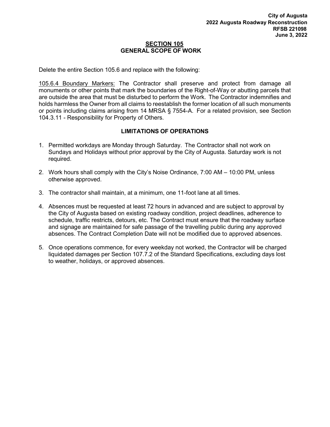#### SECTION 105 GENERAL SCOPE OF WORK

Delete the entire Section 105.6 and replace with the following:

105.6.4 Boundary Markers: The Contractor shall preserve and protect from damage all monuments or other points that mark the boundaries of the Right-of-Way or abutting parcels that are outside the area that must be disturbed to perform the Work. The Contractor indemnifies and holds harmless the Owner from all claims to reestablish the former location of all such monuments or points including claims arising from 14 MRSA § 7554-A. For a related provision, see Section 104.3.11 - Responsibility for Property of Others.

## LIMITATIONS OF OPERATIONS

- 1. Permitted workdays are Monday through Saturday. The Contractor shall not work on Sundays and Holidays without prior approval by the City of Augusta. Saturday work is not required.
- 2. Work hours shall comply with the City's Noise Ordinance, 7:00 AM 10:00 PM, unless otherwise approved.
- 3. The contractor shall maintain, at a minimum, one 11-foot lane at all times.
- 4. Absences must be requested at least 72 hours in advanced and are subject to approval by the City of Augusta based on existing roadway condition, project deadlines, adherence to schedule, traffic restricts, detours, etc. The Contract must ensure that the roadway surface and signage are maintained for safe passage of the travelling public during any approved absences. The Contract Completion Date will not be modified due to approved absences.
- 5. Once operations commence, for every weekday not worked, the Contractor will be charged liquidated damages per Section 107.7.2 of the Standard Specifications, excluding days lost to weather, holidays, or approved absences.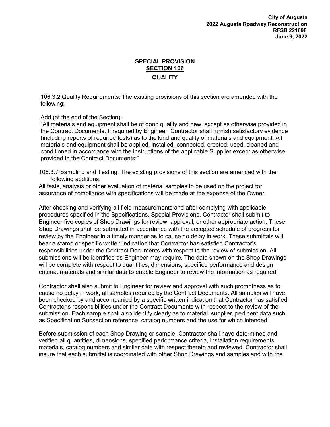## SPECIAL PROVISION **SECTION 106 QUALITY**

106.3.2 Quality Requirements: The existing provisions of this section are amended with the following:

Add (at the end of the Section):

"All materials and equipment shall be of good quality and new, except as otherwise provided in the Contract Documents. If required by Engineer, Contractor shall furnish satisfactory evidence (including reports of required tests) as to the kind and quality of materials and equipment. All materials and equipment shall be applied, installed, connected, erected, used, cleaned and conditioned in accordance with the instructions of the applicable Supplier except as otherwise provided in the Contract Documents;"

106.3.7 Sampling and Testing. The existing provisions of this section are amended with the following additions:

All tests, analysis or other evaluation of material samples to be used on the project for assurance of compliance with specifications will be made at the expense of the Owner.

After checking and verifying all field measurements and after complying with applicable procedures specified in the Specifications, Special Provisions, Contractor shall submit to Engineer five copies of Shop Drawings for review, approval, or other appropriate action. These Shop Drawings shall be submitted in accordance with the accepted schedule of progress for review by the Engineer in a timely manner as to cause no delay in work. These submittals will bear a stamp or specific written indication that Contractor has satisfied Contractor's responsibilities under the Contract Documents with respect to the review of submission. All submissions will be identified as Engineer may require. The data shown on the Shop Drawings will be complete with respect to quantities, dimensions, specified performance and design criteria, materials and similar data to enable Engineer to review the information as required.

Contractor shall also submit to Engineer for review and approval with such promptness as to cause no delay in work, all samples required by the Contract Documents. All samples will have been checked by and accompanied by a specific written indication that Contractor has satisfied Contractor's responsibilities under the Contract Documents with respect to the review of the submission. Each sample shall also identify clearly as to material, supplier, pertinent data such as Specification Subsection reference, catalog numbers and the use for which intended.

Before submission of each Shop Drawing or sample, Contractor shall have determined and verified all quantities, dimensions, specified performance criteria, installation requirements, materials, catalog numbers and similar data with respect thereto and reviewed. Contractor shall insure that each submittal is coordinated with other Shop Drawings and samples and with the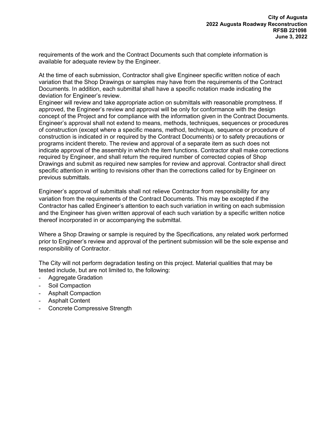requirements of the work and the Contract Documents such that complete information is available for adequate review by the Engineer.

At the time of each submission, Contractor shall give Engineer specific written notice of each variation that the Shop Drawings or samples may have from the requirements of the Contract Documents. In addition, each submittal shall have a specific notation made indicating the deviation for Engineer's review.

Engineer will review and take appropriate action on submittals with reasonable promptness. If approved, the Engineer's review and approval will be only for conformance with the design concept of the Project and for compliance with the information given in the Contract Documents. Engineer's approval shall not extend to means, methods, techniques, sequences or procedures of construction (except where a specific means, method, technique, sequence or procedure of construction is indicated in or required by the Contract Documents) or to safety precautions or programs incident thereto. The review and approval of a separate item as such does not indicate approval of the assembly in which the item functions. Contractor shall make corrections required by Engineer, and shall return the required number of corrected copies of Shop Drawings and submit as required new samples for review and approval. Contractor shall direct specific attention in writing to revisions other than the corrections called for by Engineer on previous submittals.

Engineer's approval of submittals shall not relieve Contractor from responsibility for any variation from the requirements of the Contract Documents. This may be excepted if the Contractor has called Engineer's attention to each such variation in writing on each submission and the Engineer has given written approval of each such variation by a specific written notice thereof incorporated in or accompanying the submittal.

Where a Shop Drawing or sample is required by the Specifications, any related work performed prior to Engineer's review and approval of the pertinent submission will be the sole expense and responsibility of Contractor.

The City will not perform degradation testing on this project. Material qualities that may be tested include, but are not limited to, the following:

- Aggregate Gradation
- Soil Compaction
- Asphalt Compaction
- Asphalt Content
- Concrete Compressive Strength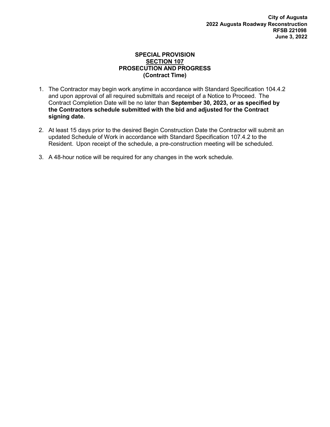#### SPECIAL PROVISION SECTION 107 PROSECUTION AND PROGRESS (Contract Time)

- 1. The Contractor may begin work anytime in accordance with Standard Specification 104.4.2 and upon approval of all required submittals and receipt of a Notice to Proceed. The Contract Completion Date will be no later than September 30, 2023, or as specified by the Contractors schedule submitted with the bid and adjusted for the Contract signing date.
- 2. At least 15 days prior to the desired Begin Construction Date the Contractor will submit an updated Schedule of Work in accordance with Standard Specification 107.4.2 to the Resident. Upon receipt of the schedule, a pre-construction meeting will be scheduled.
- 3. A 48-hour notice will be required for any changes in the work schedule.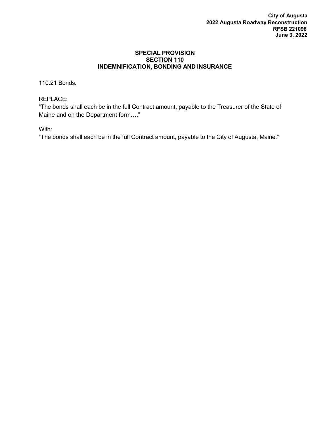#### SPECIAL PROVISION SECTION 110 INDEMNIFICATION, BONDING AND INSURANCE

## 110.21 Bonds.

## REPLACE:

"The bonds shall each be in the full Contract amount, payable to the Treasurer of the State of Maine and on the Department form…."

With:

"The bonds shall each be in the full Contract amount, payable to the City of Augusta, Maine."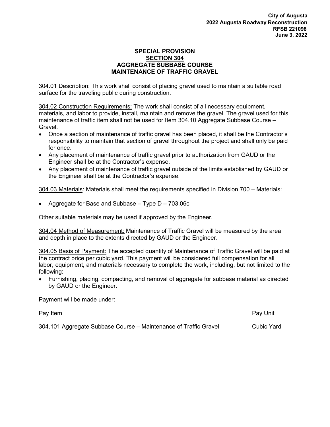#### SPECIAL PROVISION SECTION 304 AGGREGATE SUBBASE COURSE MAINTENANCE OF TRAFFIC GRAVEL

304.01 Description: This work shall consist of placing gravel used to maintain a suitable road surface for the traveling public during construction.

304.02 Construction Requirements: The work shall consist of all necessary equipment, materials, and labor to provide, install, maintain and remove the gravel. The gravel used for this maintenance of traffic item shall not be used for Item 304.10 Aggregate Subbase Course – Gravel.

- Once a section of maintenance of traffic gravel has been placed, it shall be the Contractor's responsibility to maintain that section of gravel throughout the project and shall only be paid for once.
- Any placement of maintenance of traffic gravel prior to authorization from GAUD or the Engineer shall be at the Contractor's expense.
- Any placement of maintenance of traffic gravel outside of the limits established by GAUD or the Engineer shall be at the Contractor's expense.

304.03 Materials: Materials shall meet the requirements specified in Division 700 – Materials:

Aggregate for Base and Subbase – Type D – 703.06c

Other suitable materials may be used if approved by the Engineer.

304.04 Method of Measurement: Maintenance of Traffic Gravel will be measured by the area and depth in place to the extents directed by GAUD or the Engineer.

304.05 Basis of Payment: The accepted quantity of Maintenance of Traffic Gravel will be paid at the contract price per cubic yard. This payment will be considered full compensation for all labor, equipment, and materials necessary to complete the work, including, but not limited to the following:

 Furnishing, placing, compacting, and removal of aggregate for subbase material as directed by GAUD or the Engineer.

Payment will be made under:

Pay Item **Pay Unit** 

304.101 Aggregate Subbase Course – Maintenance of Traffic Gravel Cubic Yard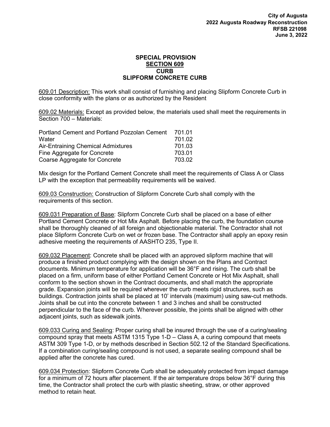#### SPECIAL PROVISION SECTION 609 **CURB** SLIPFORM CONCRETE CURB

609.01 Description: This work shall consist of furnishing and placing Slipform Concrete Curb in close conformity with the plans or as authorized by the Resident

609.02 Materials: Except as provided below, the materials used shall meet the requirements in Section 700 – Materials:

| Portland Cement and Portland Pozzolan Cement | 701.01 |
|----------------------------------------------|--------|
| Water                                        | 701.02 |
| Air-Entraining Chemical Admixtures           | 701.03 |
| Fine Aggregate for Concrete                  | 703.01 |
| Coarse Aggregate for Concrete                | 703.02 |

Mix design for the Portland Cement Concrete shall meet the requirements of Class A or Class LP with the exception that permeability requirements will be waived.

609.03 Construction: Construction of Slipform Concrete Curb shall comply with the requirements of this section.

609.031 Preparation of Base: Slipform Concrete Curb shall be placed on a base of either Portland Cement Concrete or Hot Mix Asphalt. Before placing the curb, the foundation course shall be thoroughly cleaned of all foreign and objectionable material. The Contractor shall not place Slipform Concrete Curb on wet or frozen base. The Contractor shall apply an epoxy resin adhesive meeting the requirements of AASHTO 235, Type II.

609.032 Placement: Concrete shall be placed with an approved slipform machine that will produce a finished product complying with the design shown on the Plans and Contract documents. Minimum temperature for application will be 36°F and rising. The curb shall be placed on a firm, uniform base of either Portland Cement Concrete or Hot Mix Asphalt, shall conform to the section shown in the Contract documents, and shall match the appropriate grade. Expansion joints will be required wherever the curb meets rigid structures, such as buildings. Contraction joints shall be placed at 10' intervals (maximum) using saw-cut methods. Joints shall be cut into the concrete between 1 and 3 inches and shall be constructed perpendicular to the face of the curb. Wherever possible, the joints shall be aligned with other adjacent joints, such as sidewalk joints.

609.033 Curing and Sealing: Proper curing shall be insured through the use of a curing/sealing compound spray that meets ASTM 1315 Type 1-D – Class A, a curing compound that meets ASTM 309 Type 1-D, or by methods described in Section 502.12 of the Standard Specifications. If a combination curing/sealing compound is not used, a separate sealing compound shall be applied after the concrete has cured.

609.034 Protection: Slipform Concrete Curb shall be adequately protected from impact damage for a minimum of 72 hours after placement. If the air temperature drops below 36°F during this time, the Contractor shall protect the curb with plastic sheeting, straw, or other approved method to retain heat.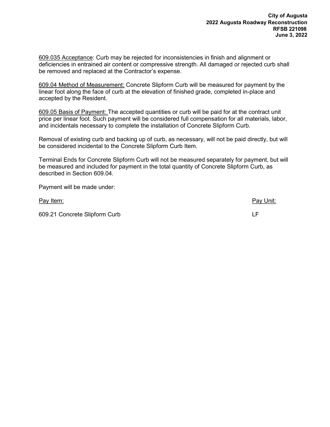609.035 Acceptance: Curb may be rejected for inconsistencies in finish and alignment or deficiencies in entrained air content or compressive strength. All damaged or rejected curb shall be removed and replaced at the Contractor's expense.

609.04 Method of Measurement: Concrete Slipform Curb will be measured for payment by the linear foot along the face of curb at the elevation of finished grade, completed in-place and accepted by the Resident.

609.05 Basis of Payment: The accepted quantities or curb will be paid for at the contract unit price per linear foot. Such payment will be considered full compensation for all materials, labor, and incidentals necessary to complete the installation of Concrete Slipform Curb.

Removal of existing curb and backing up of curb, as necessary, will not be paid directly, but will be considered incidental to the Concrete Slipform Curb Item.

Terminal Ends for Concrete Slipform Curb will not be measured separately for payment, but will be measured and included for payment in the total quantity of Concrete Slipform Curb, as described in Section 609.04.

Payment will be made under:

Pay Item: **Pay Unit:** Pay Unit: **Pay Unit:** Pay Unit: **Pay Unit:** Pay Unit: **Pay Unit:** 

609.21 Concrete Slipform Curb LF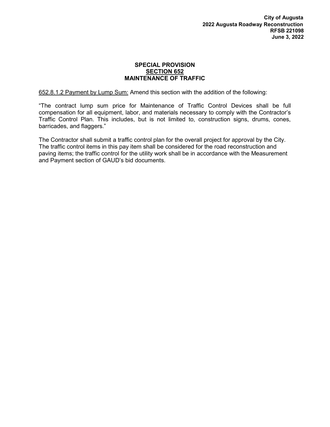#### SPECIAL PROVISION SECTION 652 MAINTENANCE OF TRAFFIC

652.8.1.2 Payment by Lump Sum: Amend this section with the addition of the following:

"The contract lump sum price for Maintenance of Traffic Control Devices shall be full compensation for all equipment, labor, and materials necessary to comply with the Contractor's Traffic Control Plan. This includes, but is not limited to, construction signs, drums, cones, barricades, and flaggers."

The Contractor shall submit a traffic control plan for the overall project for approval by the City. The traffic control items in this pay item shall be considered for the road reconstruction and paving items; the traffic control for the utility work shall be in accordance with the Measurement and Payment section of GAUD's bid documents.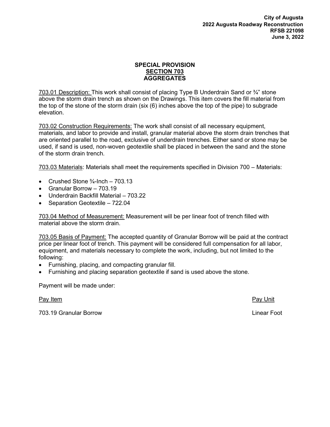## SPECIAL PROVISION SECTION 703 AGGREGATES

703.01 Description: This work shall consist of placing Type B Underdrain Sand or  $\frac{3}{4}$ " stone above the storm drain trench as shown on the Drawings. This item covers the fill material from the top of the stone of the storm drain (six (6) inches above the top of the pipe) to subgrade elevation.

703.02 Construction Requirements: The work shall consist of all necessary equipment, materials, and labor to provide and install, granular material above the storm drain trenches that are oriented parallel to the road, exclusive of underdrain trenches. Either sand or stone may be used, if sand is used, non-woven geotextile shall be placed in between the sand and the stone of the storm drain trench.

703.03 Materials: Materials shall meet the requirements specified in Division 700 – Materials:

- Crushed Stone  $\frac{3}{4}$ -Inch 703.13
- Granular Borrow 703.19
- Underdrain Backfill Material 703.22
- Separation Geotextile 722.04

703.04 Method of Measurement: Measurement will be per linear foot of trench filled with material above the storm drain.

703.05 Basis of Payment: The accepted quantity of Granular Borrow will be paid at the contract price per linear foot of trench. This payment will be considered full compensation for all labor, equipment, and materials necessary to complete the work, including, but not limited to the following:

- Furnishing, placing, and compacting granular fill.
- Furnishing and placing separation geotextile if sand is used above the stone.

Payment will be made under:

Pay Item **Pay Unit** 

703.19 Granular Borrow Linear Foot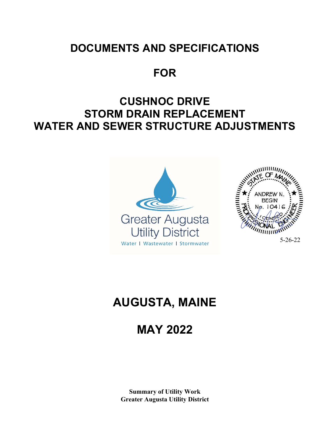## **DOCUMENTS AND SPECIFICATIONS**

**FOR** 

# **CUSHNOC DRIVE STORM DRAIN REPLACEMENT WATER AND SEWER STRUCTURE ADJUSTMENTS**



# **AUGUSTA, MAINE**

# **MAY 2022**

**Summary of Utility Work Greater Augusta Utility District**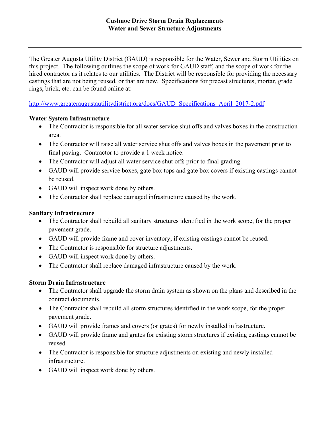The Greater Augusta Utility District (GAUD) is responsible for the Water, Sewer and Storm Utilities on this project. The following outlines the scope of work for GAUD staff, and the scope of work for the hired contractor as it relates to our utilities. The District will be responsible for providing the necessary castings that are not being reused, or that are new. Specifications for precast structures, mortar, grade rings, brick, etc. can be found online at:

http://www.greateraugustautilitydistrict.org/docs/GAUD\_Specifications\_April\_2017-2.pdf

## **Water System Infrastructure**

- The Contractor is responsible for all water service shut offs and valves boxes in the construction area.
- The Contractor will raise all water service shut offs and valves boxes in the pavement prior to final paving. Contractor to provide a 1 week notice.
- The Contractor will adjust all water service shut offs prior to final grading.
- GAUD will provide service boxes, gate box tops and gate box covers if existing castings cannot be reused.
- GAUD will inspect work done by others.
- The Contractor shall replace damaged infrastructure caused by the work.

## **Sanitary Infrastructure**

- The Contractor shall rebuild all sanitary structures identified in the work scope, for the proper pavement grade.
- GAUD will provide frame and cover inventory, if existing castings cannot be reused.
- The Contractor is responsible for structure adjustments.
- GAUD will inspect work done by others.
- The Contractor shall replace damaged infrastructure caused by the work.

## **Storm Drain Infrastructure**

- The Contractor shall upgrade the storm drain system as shown on the plans and described in the contract documents.
- The Contractor shall rebuild all storm structures identified in the work scope, for the proper pavement grade.
- GAUD will provide frames and covers (or grates) for newly installed infrastructure.
- GAUD will provide frame and grates for existing storm structures if existing castings cannot be reused.
- The Contractor is responsible for structure adjustments on existing and newly installed infrastructure.
- GAUD will inspect work done by others.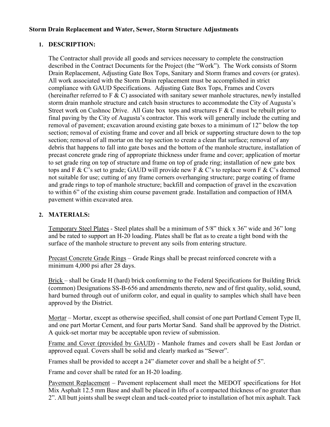## **Storm Drain Replacement and Water, Sewer, Storm Structure Adjustments**

## **1. DESCRIPTION:**

The Contractor shall provide all goods and services necessary to complete the construction described in the Contract Documents for the Project (the "Work"). The Work consists of Storm Drain Replacement, Adjusting Gate Box Tops, Sanitary and Storm frames and covers (or grates). All work associated with the Storm Drain replacement must be accomplished in strict compliance with GAUD Specifications. Adjusting Gate Box Tops, Frames and Covers (hereinafter referred to F  $\&$  C) associated with sanitary sewer manhole structures, newly installed storm drain manhole structure and catch basin structures to accommodate the City of Augusta's Street work on Cushnoc Drive. All Gate box tops and structures  $F \& C$  must be rebuilt prior to final paving by the City of Augusta's contractor. This work will generally include the cutting and removal of pavement; excavation around existing gate boxes to a minimum of 12" below the top section; removal of existing frame and cover and all brick or supporting structure down to the top section; removal of all mortar on the top section to create a clean flat surface; removal of any debris that happens to fall into gate boxes and the bottom of the manhole structure, installation of precast concrete grade ring of appropriate thickness under frame and cover; application of mortar to set grade ring on top of structure and frame on top of grade ring; installation of new gate box tops and F & C's set to grade; GAUD will provide new F & C's to replace worn F & C's deemed not suitable for use; cutting of any frame corners overhanging structure; parge coating of frame and grade rings to top of manhole structure; backfill and compaction of gravel in the excavation to within 6" of the existing shim course pavement grade. Installation and compaction of HMA pavement within excavated area.

## **2. MATERIALS:**

Temporary Steel Plates - Steel plates shall be a minimum of 5/8" thick x 36" wide and 36" long and be rated to support an H-20 loading. Plates shall be flat as to create a tight bond with the surface of the manhole structure to prevent any soils from entering structure.

Precast Concrete Grade Rings – Grade Rings shall be precast reinforced concrete with a minimum 4,000 psi after 28 days.

Brick – shall be Grade H (hard) brick conforming to the Federal Specifications for Building Brick (common) Designations SS-B-656 and amendments thereto, new and of first quality, solid, sound, hard burned through out of uniform color, and equal in quality to samples which shall have been approved by the District.

Mortar – Mortar, except as otherwise specified, shall consist of one part Portland Cement Type II, and one part Mortar Cement, and four parts Mortar Sand. Sand shall be approved by the District. A quick-set mortar may be acceptable upon review of submission.

Frame and Cover (provided by GAUD) - Manhole frames and covers shall be East Jordan or approved equal. Covers shall be solid and clearly marked as "Sewer".

Frames shall be provided to accept a 24" diameter cover and shall be a height of 5".

Frame and cover shall be rated for an H-20 loading.

Pavement Replacement – Pavement replacement shall meet the MEDOT specifications for Hot Mix Asphalt 12.5 mm Base and shall be placed in lifts of a compacted thickness of no greater than 2". All butt joints shall be swept clean and tack-coated prior to installation of hot mix asphalt. Tack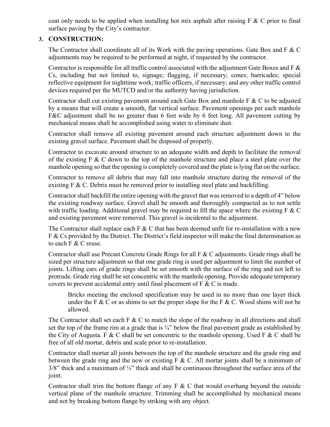coat only needs to be applied when installing hot mix asphalt after raising  $F \& C$  prior to final surface paving by the City's contractor.

## **3. CONSTRUCTION:**

The Contractor shall coordinate all of its Work with the paving operations. Gate Box and  $F \& C$ adjustments may be required to be performed at night, if requested by the contractor.

Contractor is responsible for all traffic control associated with the adjustment Gate Boxes and F  $\&$ Cs, including but not limited to, signage; flagging, if necessary; cones; barricades; special reflective equipment for nighttime work; traffic officers, if necessary; and any other traffic control devices required per the MUTCD and/or the authority having jurisdiction.

Contractor shall cut existing pavement around each Gate Box and manhole  $F \& C$  to be adjusted by a means that will create a smooth, flat vertical surface. Pavement openings per each manhole F&C adjustment shall be no greater than 6 feet wide by 6 feet long. All pavement cutting by mechanical means shall be accomplished using water to eliminate dust.

Contractor shall remove all existing pavement around each structure adjustment down to the existing gravel surface. Pavement shall be disposed of properly.

Contractor to excavate around structure to an adequate width and depth to facilitate the removal of the existing  $F \& C$  down to the top of the manhole structure and place a steel plate over the manhole opening so that the opening is completely covered and the plate is lying flat on the surface.

Contractor to remove all debris that may fall into manhole structure during the removal of the existing F & C. Debris must be removed prior to installing steel plate and backfilling.

Contractor shall backfill the entire opening with the gravel that was removed to a depth of 4" below the existing roadway surface. Gravel shall be smooth and thoroughly compacted as to not settle with traffic loading. Additional gravel may be required to fill the space where the existing  $F \& C$ and existing pavement were removed. This gravel is incidental to the adjustment.

The Contractor shall replace each F & C that has been deemed unfit for re-installation with a new F & Cs provided by the District. The District's field inspector will make the final determination as to each F & C reuse.

Contractor shall use Precast Concrete Grade Rings for all F & C adjustments. Grade rings shall be sized per structure adjustment so that one grade ring is used per adjustment to limit the number of joints. Lifting ears of grade rings shall be set smooth with the surface of the ring and not left to protrude. Grade ring shall be set concentric with the manhole opening. Provide adequate temporary covers to prevent accidental entry until final placement of  $F \& C$  is made.

Bricks meeting the enclosed specification may be used in no more than one layer thick under the F & C or as shims to set the proper slope for the F & C. Wood shims will not be allowed.

The Contractor shall set each  $F \& C$  to match the slope of the roadway in all directions and shall set the top of the frame rim at a grade that is  $\frac{1}{4}$ " below the final pavement grade as established by the City of Augusta. F & C shall be set concentric to the manhole opening. Used F & C shall be free of all old mortar, debris and scale prior to re-installation.

Contractor shall mortar all joints between the top of the manhole structure and the grade ring and between the grade ring and the new or existing  $F \& C$ . All mortar joints shall be a minimum of  $3/8$ " thick and a maximum of  $\frac{1}{2}$ " thick and shall be continuous throughout the surface area of the joint.

Contractor shall trim the bottom flange of any  $F \& C$  that would overhang beyond the outside vertical plane of the manhole structure. Trimming shall be accomplished by mechanical means and not by breaking bottom flange by striking with any object.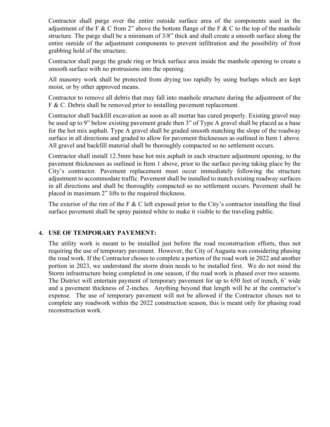Contractor shall parge over the entire outside surface area of the components used in the adjustment of the F & C from 2" above the bottom flange of the F & C to the top of the manhole structure. The parge shall be a minimum of 3/8" thick and shall create a smooth surface along the entire outside of the adjustment components to prevent infiltration and the possibility of frost grabbing hold of the structure.

Contractor shall parge the grade ring or brick surface area inside the manhole opening to create a smooth surface with no protrusions into the opening.

All masonry work shall be protected from drying too rapidly by using burlaps which are kept moist, or by other approved means.

Contractor to remove all debris that may fall into manhole structure during the adjustment of the F & C. Debris shall be removed prior to installing pavement replacement.

Contractor shall backfill excavation as soon as all mortar has cured properly. Existing gravel may be used up to 9" below existing pavement grade then 3" of Type A gravel shall be placed as a base for the hot mix asphalt. Type A gravel shall be graded smooth matching the slope of the roadway surface in all directions and graded to allow for pavement thicknesses as outlined in Item 1 above. All gravel and backfill material shall be thoroughly compacted so no settlement occurs.

Contractor shall install 12.5mm base hot mix asphalt in each structure adjustment opening, to the pavement thicknesses as outlined in Item 1 above, prior to the surface paving taking place by the City's contractor. Pavement replacement must occur immediately following the structure adjustment to accommodate traffic. Pavement shall be installed to match existing roadway surfaces in all directions and shall be thoroughly compacted so no settlement occurs. Pavement shall be placed in maximum 2" lifts to the required thickness.

The exterior of the rim of the F & C left exposed prior to the City's contractor installing the final surface pavement shall be spray painted white to make it visible to the traveling public.

## **4. USE OF TEMPORARY PAVEMENT:**

The utility work is meant to be installed just before the road reconstruction efforts, thus not requiring the use of temporary pavement. However, the City of Augusta was considering phasing the road work. If the Contractor choses to complete a portion of the road work in 2022 and another portion in 2023, we understand the storm drain needs to be installed first. We do not mind the Storm infrastructure being completed in one season, if the road work is phased over two seasons. The District will entertain payment of temporary pavement for up to 650 feet of trench, 6' wide and a pavement thickness of 2-inches. Anything beyond that length will be at the contractor's expense. The use of temporary pavement will not be allowed if the Contractor choses not to complete any roadwork within the 2022 construction season, this is meant only for phasing road reconstruction work.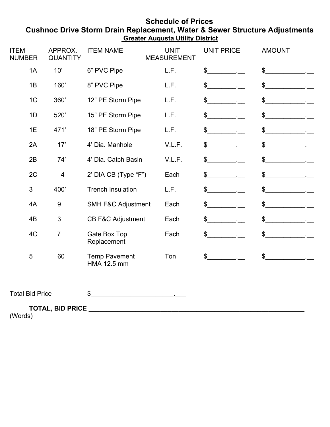## **Schedule of Prices Cushnoc Drive Storm Drain Replacement, Water & Sewer Structure Adjustments Greater Augusta Utility District**

| <b>ITEM</b><br><b>NUMBER</b>   | APPROX.<br><b>QUANTITY</b> | <b>ITEM NAME</b>                    | <b>UNIT</b><br><b>MEASUREMENT</b> | <b>UNIT PRICE</b>         | <b>AMOUNT</b> |  |
|--------------------------------|----------------------------|-------------------------------------|-----------------------------------|---------------------------|---------------|--|
| 1A                             | 10'                        | 6" PVC Pipe                         | L.F.                              | $\mathbb{S}$              | \$            |  |
| 1B                             | 160'                       | 8" PVC Pipe                         | L.F.                              | $\boldsymbol{\mathsf{S}}$ | \$            |  |
| 1 <sub>C</sub>                 | 360'                       | 12" PE Storm Pipe                   | L.F.                              | \$                        | \$            |  |
| 1D                             | 520'                       | 15" PE Storm Pipe                   | L.F.                              | \$                        | \$            |  |
| 1E                             | 471'                       | 18" PE Storm Pipe                   | L.F.                              | \$                        | \$            |  |
| 2A                             | 17'                        | 4' Dia. Manhole                     | V.L.F.                            | \$                        | \$            |  |
| 2B                             | 74'                        | 4' Dia. Catch Basin                 | V.L.F.                            | \$                        | \$            |  |
| 2C                             | $\overline{4}$             | 2' DIA CB (Type "F")                | Each                              | \$                        | \$            |  |
| 3                              | 400'                       | <b>Trench Insulation</b>            | L.F.                              | \$                        | \$            |  |
| 4A                             | $9\,$                      | <b>SMH F&amp;C Adjustment</b>       | Each                              | \$                        | \$            |  |
| 4B                             | 3                          | <b>CB F&amp;C Adjustment</b>        | Each                              | \$                        | \$            |  |
| 4C                             | $\overline{7}$             | Gate Box Top<br>Replacement         | Each                              | $\boldsymbol{\mathsf{S}}$ | \$            |  |
| $\overline{5}$                 | 60                         | <b>Temp Pavement</b><br>HMA 12.5 mm | Ton                               | \$                        | \$            |  |
| <b>Total Bid Price</b>         |                            | $\mathfrak{S}$                      |                                   |                           |               |  |
| $\Lambda\Lambda\Lambda\Lambda$ | <b>TOTAL, BID PRICE</b>    |                                     |                                   |                           |               |  |

(Words)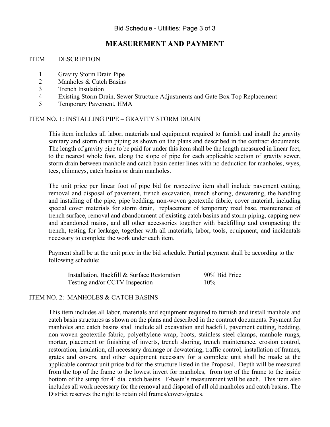## **MEASUREMENT AND PAYMENT**

#### ITEM DESCRIPTION

- 1 Gravity Storm Drain Pipe
- 2 Manholes & Catch Basins
- 3 Trench Insulation
- 4 Existing Storm Drain, Sewer Structure Adjustments and Gate Box Top Replacement
- 5 Temporary Pavement, HMA

## ITEM NO. 1: INSTALLING PIPE – GRAVITY STORM DRAIN

This item includes all labor, materials and equipment required to furnish and install the gravity sanitary and storm drain piping as shown on the plans and described in the contract documents. The length of gravity pipe to be paid for under this item shall be the length measured in linear feet, to the nearest whole foot, along the slope of pipe for each applicable section of gravity sewer, storm drain between manhole and catch basin center lines with no deduction for manholes, wyes, tees, chimneys, catch basins or drain manholes.

The unit price per linear foot of pipe bid for respective item shall include pavement cutting, removal and disposal of pavement, trench excavation, trench shoring, dewatering, the handling and installing of the pipe, pipe bedding, non-woven geotextile fabric, cover material, including special cover materials for storm drain, replacement of temporary road base, maintenance of trench surface, removal and abandonment of existing catch basins and storm piping, capping new and abandoned mains, and all other accessories together with backfilling and compacting the trench, testing for leakage, together with all materials, labor, tools, equipment, and incidentals necessary to complete the work under each item.

Payment shall be at the unit price in the bid schedule. Partial payment shall be according to the following schedule:

 Installation, Backfill & Surface Restoration 90% Bid Price Testing and/or CCTV Inspection 10%

## ITEM NO. 2: MANHOLES & CATCH BASINS

This item includes all labor, materials and equipment required to furnish and install manhole and catch basin structures as shown on the plans and described in the contract documents. Payment for manholes and catch basins shall include all excavation and backfill, pavement cutting, bedding, non-woven geotextile fabric, polyethylene wrap, boots, stainless steel clamps, manhole rungs, mortar, placement or finishing of inverts, trench shoring, trench maintenance, erosion control, restoration, insulation, all necessary drainage or dewatering, traffic control, installation of frames, grates and covers, and other equipment necessary for a complete unit shall be made at the applicable contract unit price bid for the structure listed in the Proposal. Depth will be measured from the top of the frame to the lowest invert for manholes, from top of the frame to the inside bottom of the sump for 4' dia. catch basins. F-basin's measurement will be each. This item also includes all work necessary for the removal and disposal of all old manholes and catch basins. The District reserves the right to retain old frames/covers/grates.